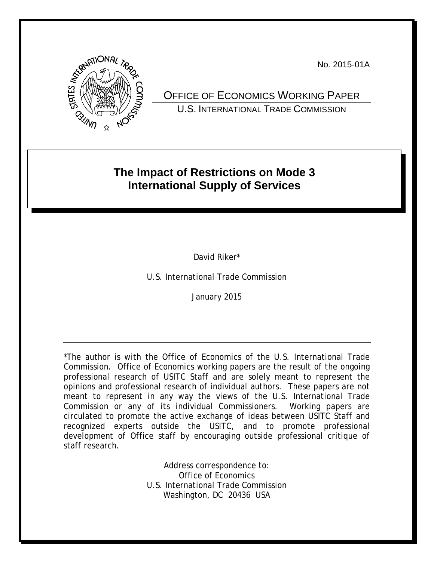No. 2015-01A



OFFICE OF ECONOMICS WORKING PAPER U.S. INTERNATIONAL TRADE COMMISSION

# **The Impact of Restrictions on Mode 3 International Supply of Services**

David Riker\*

U.S. International Trade Commission

January 2015

\*The author is with the Office of Economics of the U.S. International Trade Commission. Office of Economics working papers are the result of the ongoing professional research of USITC Staff and are solely meant to represent the opinions and professional research of individual authors. These papers are not meant to represent in any way the views of the U.S. International Trade Commission or any of its individual Commissioners. Working papers are circulated to promote the active exchange of ideas between USITC Staff and recognized experts outside the USITC, and to promote professional development of Office staff by encouraging outside professional critique of staff research.

> Address correspondence to: Office of Economics U.S. International Trade Commission Washington, DC 20436 USA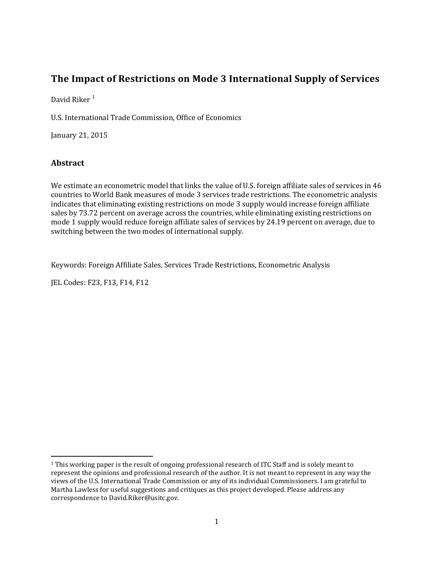## **The Impact of Restrictions on Mode 3 International Supply of Services**

David Riker<sup>[1](#page-1-0)</sup>

U.S. International Trade Commission, Office of Economics

January 21, 2015

## **Abstract**

l

We estimate an econometric model that links the value of U.S. foreign affiliate sales of services in 46 countries to World Bank measures of mode 3 services trade restrictions. The econometric analysis indicates that eliminating existing restrictions on mode 3 supply would increase foreign affiliate sales by 73.72 percent on average across the countries, while eliminating existing restrictions on mode 1 supply would reduce foreign affiliate sales of services by 24.19 percent on average, due to switching between the two modes of international supply.

Keywords: Foreign Affiliate Sales, Services Trade Restrictions, Econometric Analysis

JEL Codes: F23, F13, F14, F12

<span id="page-1-0"></span><sup>1</sup> This working paper is the result of ongoing professional research of ITC Staff and is solely meant to represent the opinions and professional research of the author. It is not meant to represent in any way the views of the U.S. International Trade Commission or any of its individual Commissioners. I am grateful to Martha Lawless for useful suggestions and critiques as this project developed. Please address any correspondence to David.Riker@usitc.gov.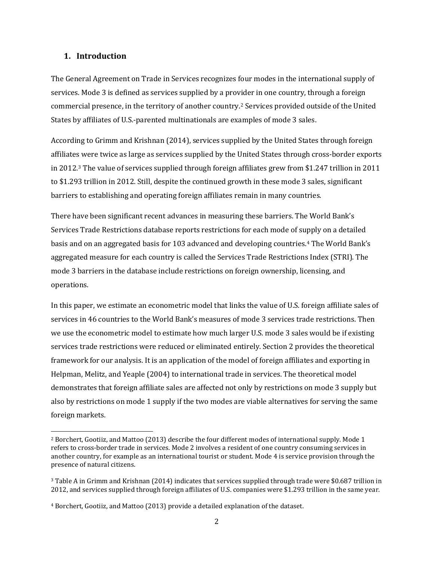### **1. Introduction**

 $\overline{\phantom{a}}$ 

The General Agreement on Trade in Services recognizes four modes in the international supply of services. Mode 3 is defined as services supplied by a provider in one country, through a foreign commercial presence, in the territory of another country.[2](#page-2-0) Services provided outside of the United States by affiliates of U.S.-parented multinationals are examples of mode 3 sales.

According to Grimm and Krishnan (2014), services supplied by the United States through foreign affiliates were twice as large as services supplied by the United States through cross-border exports in 2012.[3](#page-2-1) The value of services supplied through foreign affiliates grew from \$1.247 trillion in 2011 to \$1.293 trillion in 2012. Still, despite the continued growth in these mode 3 sales, significant barriers to establishing and operating foreign affiliates remain in many countries.

There have been significant recent advances in measuring these barriers. The World Bank's Services Trade Restrictions database reports restrictions for each mode of supply on a detailed basis and on an aggregated basis for 103 advanced and developing countries.[4](#page-2-2) The World Bank's aggregated measure for each country is called the Services Trade Restrictions Index (STRI). The mode 3 barriers in the database include restrictions on foreign ownership, licensing, and operations.

In this paper, we estimate an econometric model that links the value of U.S. foreign affiliate sales of services in 46 countries to the World Bank's measures of mode 3 services trade restrictions. Then we use the econometric model to estimate how much larger U.S. mode 3 sales would be if existing services trade restrictions were reduced or eliminated entirely. Section 2 provides the theoretical framework for our analysis. It is an application of the model of foreign affiliates and exporting in Helpman, Melitz, and Yeaple (2004) to international trade in services. The theoretical model demonstrates that foreign affiliate sales are affected not only by restrictions on mode 3 supply but also by restrictions on mode 1 supply if the two modes are viable alternatives for serving the same foreign markets.

<span id="page-2-0"></span><sup>2</sup> Borchert, Gootiiz, and Mattoo (2013) describe the four different modes of international supply. Mode 1 refers to cross-border trade in services. Mode 2 involves a resident of one country consuming services in another country, for example as an international tourist or student. Mode 4 is service provision through the presence of natural citizens.

<span id="page-2-1"></span><sup>3</sup> Table A in Grimm and Krishnan (2014) indicates that services supplied through trade were \$0.687 trillion in 2012, and services supplied through foreign affiliates of U.S. companies were \$1.293 trillion in the same year.

<span id="page-2-2"></span><sup>4</sup> Borchert, Gootiiz, and Mattoo (2013) provide a detailed explanation of the dataset.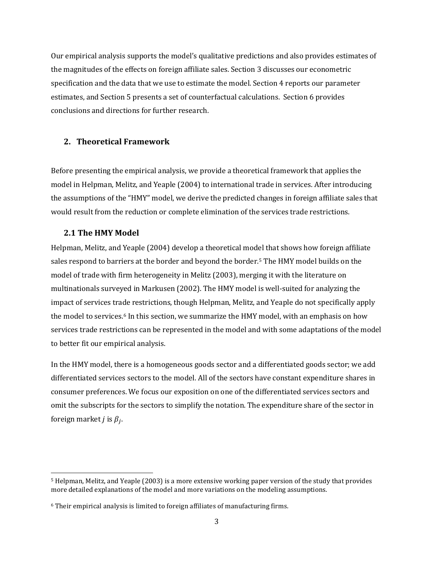Our empirical analysis supports the model's qualitative predictions and also provides estimates of the magnitudes of the effects on foreign affiliate sales. Section 3 discusses our econometric specification and the data that we use to estimate the model. Section 4 reports our parameter estimates, and Section 5 presents a set of counterfactual calculations. Section 6 provides conclusions and directions for further research.

## **2. Theoretical Framework**

Before presenting the empirical analysis, we provide a theoretical framework that applies the model in Helpman, Melitz, and Yeaple (2004) to international trade in services. After introducing the assumptions of the "HMY" model, we derive the predicted changes in foreign affiliate sales that would result from the reduction or complete elimination of the services trade restrictions.

## **2.1 The HMY Model**

 $\overline{\phantom{a}}$ 

Helpman, Melitz, and Yeaple (2004) develop a theoretical model that shows how foreign affiliate sales respond to barriers at the border and beyond the border.[5](#page-3-0) The HMY model builds on the model of trade with firm heterogeneity in Melitz (2003), merging it with the literature on multinationals surveyed in Markusen (2002). The HMY model is well-suited for analyzing the impact of services trade restrictions, though Helpman, Melitz, and Yeaple do not specifically apply the model to services.[6](#page-3-1) In this section, we summarize the HMY model, with an emphasis on how services trade restrictions can be represented in the model and with some adaptations of the model to better fit our empirical analysis.

In the HMY model, there is a homogeneous goods sector and a differentiated goods sector; we add differentiated services sectors to the model. All of the sectors have constant expenditure shares in consumer preferences. We focus our exposition on one of the differentiated services sectors and omit the subscripts for the sectors to simplify the notation. The expenditure share of the sector in foreign market *j* is  $\beta_i$ .

<span id="page-3-0"></span><sup>5</sup> Helpman, Melitz, and Yeaple (2003) is a more extensive working paper version of the study that provides more detailed explanations of the model and more variations on the modeling assumptions.

<span id="page-3-1"></span><sup>6</sup> Their empirical analysis is limited to foreign affiliates of manufacturing firms.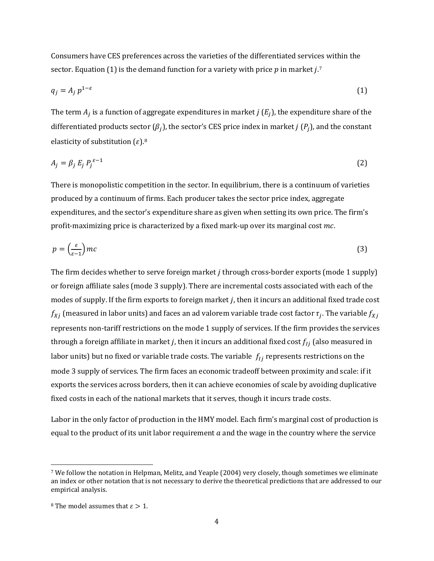Consumers have CES preferences across the varieties of the differentiated services within the sector. Equation (1) is the demand function for a variety with price  $p$  in market  $j$ .<sup>[7](#page-4-0)</sup>

$$
q_j = A_j p^{1-\varepsilon} \tag{1}
$$

The term  $A_i$  is a function of aggregate expenditures in market  $j(E_i)$ , the expenditure share of the differentiated products sector  $(\beta_i)$ , the sector's CES price index in market *j*  $(P_i)$ , and the constant elasticity of substitution  $(\varepsilon)$ .<sup>[8](#page-4-1)</sup>

$$
A_j = \beta_j E_j P_j^{\varepsilon - 1} \tag{2}
$$

There is monopolistic competition in the sector. In equilibrium, there is a continuum of varieties produced by a continuum of firms. Each producer takes the sector price index, aggregate expenditures, and the sector's expenditure share as given when setting its own price. The firm's profit-maximizing price is characterized by a fixed mark-up over its marginal cost  $mc$ .

$$
p = \left(\frac{\varepsilon}{\varepsilon - 1}\right)mc
$$
\n(3)

The firm decides whether to serve foreign market  $j$  through cross-border exports (mode 1 supply) or foreign affiliate sales (mode 3 supply). There are incremental costs associated with each of the modes of supply. If the firm exports to foreign market *j*, then it incurs an additional fixed trade cost  $f_{Xj}$  (measured in labor units) and faces an ad valorem variable trade cost factor  $\tau_j$ . The variable  $f_{Xj}$ represents non-tariff restrictions on the mode 1 supply of services. If the firm provides the services through a foreign affiliate in market *j*, then it incurs an additional fixed cost  $f_{ij}$  (also measured in labor units) but no fixed or variable trade costs. The variable  $f_{ij}$  represents restrictions on the mode 3 supply of services. The firm faces an economic tradeoff between proximity and scale: if it exports the services across borders, then it can achieve economies of scale by avoiding duplicative fixed costs in each of the national markets that it serves, though it incurs trade costs.

Labor in the only factor of production in the HMY model. Each firm's marginal cost of production is equal to the product of its unit labor requirement  $a$  and the wage in the country where the service

 $\overline{\phantom{a}}$ 

<span id="page-4-0"></span><sup>7</sup> We follow the notation in Helpman, Melitz, and Yeaple (2004) very closely, though sometimes we eliminate an index or other notation that is not necessary to derive the theoretical predictions that are addressed to our empirical analysis.

<span id="page-4-1"></span><sup>&</sup>lt;sup>8</sup> The model assumes that  $\varepsilon > 1$ .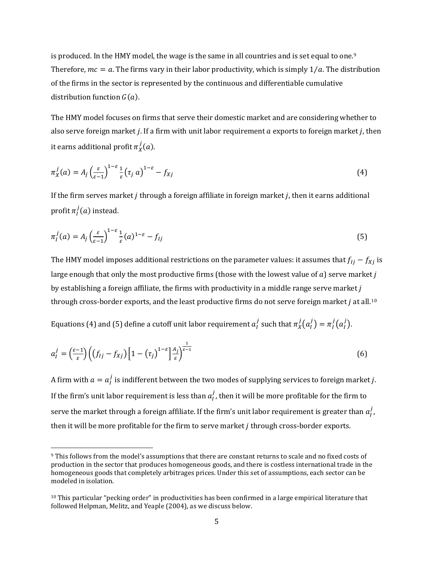is produced. In the HMY model, the wage is the same in all countries and is set equal to one.<sup>9</sup> Therefore,  $mc = a$ . The firms vary in their labor productivity, which is simply  $1/a$ . The distribution of the firms in the sector is represented by the continuous and differentiable cumulative distribution function  $G(a)$ .

The HMY model focuses on firms that serve their domestic market and are considering whether to also serve foreign market *j*. If a firm with unit labor requirement  $a$  exports to foreign market *j*, then it earns additional profit  $\pi^J_X(a)$ .

$$
\pi_X^j(a) = A_j \left(\frac{\varepsilon}{\varepsilon - 1}\right)^{1 - \varepsilon} \frac{1}{\varepsilon} \left(\tau_j \, a\right)^{1 - \varepsilon} - f_{Xj} \tag{4}
$$

If the firm serves market  $j$  through a foreign affiliate in foreign market  $j$ , then it earns additional profit  $\pi_I^J(a)$  instead.

$$
\pi_I^j(a) = A_j \left(\frac{\varepsilon}{\varepsilon - 1}\right)^{1 - \varepsilon} \frac{1}{\varepsilon}(a)^{1 - \varepsilon} - f_{Ij} \tag{5}
$$

The HMY model imposes additional restrictions on the parameter values: it assumes that  $f_{1j} - f_{Xj}$  is large enough that only the most productive firms (those with the lowest value of  $a$ ) serve market  $j$ by establishing a foreign affiliate, the firms with productivity in a middle range serve market  $j$ through cross-border exports, and the least productive firms do not serve foreign market  $j$  at all.<sup>10</sup>

Equations (4) and (5) define a cutoff unit labor requirement  $a_l^j$  such that  $\pi_X^j(a_l^j) = \pi_l^j(a_l^j)$ .

$$
a_l^j = \left(\frac{\varepsilon - 1}{\varepsilon}\right) \left( \left(f_{lj} - f_{Xj}\right) \left[1 - \left(\tau_j\right)^{1 - \varepsilon}\right] \frac{A_j}{\varepsilon} \right)^{\frac{1}{\varepsilon - 1}}
$$
(6)

A firm with  $a = a_l^j$  is indifferent between the two modes of supplying services to foreign market *j*. If the firm's unit labor requirement is less than  $a_l^j$ , then it will be more profitable for the firm to serve the market through a foreign affiliate. If the firm's unit labor requirement is greater than  $a_l^j$ , then it will be more profitable for the firm to serve market  $j$  through cross-border exports.

 $\overline{\phantom{a}}$ 

<span id="page-5-0"></span><sup>9</sup> This follows from the model's assumptions that there are constant returns to scale and no fixed costs of production in the sector that produces homogeneous goods, and there is costless international trade in the homogeneous goods that completely arbitrages prices. Under this set of assumptions, each sector can be modeled in isolation.

<span id="page-5-1"></span> $10$  This particular "pecking order" in productivities has been confirmed in a large empirical literature that followed Helpman, Melitz, and Yeaple (2004), as we discuss below.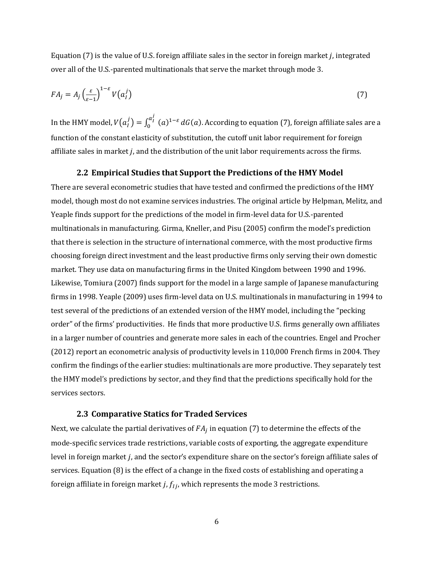Equation  $(7)$  is the value of U.S. foreign affiliate sales in the sector in foreign market *i*, integrated over all of the U.S.-parented multinationals that serve the market through mode 3.

$$
FA_j = A_j \left(\frac{\varepsilon}{\varepsilon - 1}\right)^{1 - \varepsilon} V\left(a_i^j\right) \tag{7}
$$

In the HMY model,  $V(a_I^j) = \int_0^{a_I^j} (a)^{1-\varepsilon}$  $\int_{0}^{\tau_{I}}$  (a) $^{1-\epsilon}$  dG(a). According to equation (7), foreign affiliate sales are a function of the constant elasticity of substitution, the cutoff unit labor requirement for foreign affiliate sales in market  $j$ , and the distribution of the unit labor requirements across the firms.

#### **2.2 Empirical Studies that Support the Predictions of the HMY Model**

There are several econometric studies that have tested and confirmed the predictions of the HMY model, though most do not examine services industries. The original article by Helpman, Melitz, and Yeaple finds support for the predictions of the model in firm-level data for U.S.-parented multinationals in manufacturing. Girma, Kneller, and Pisu (2005) confirm the model's prediction that there is selection in the structure of international commerce, with the most productive firms choosing foreign direct investment and the least productive firms only serving their own domestic market. They use data on manufacturing firms in the United Kingdom between 1990 and 1996. Likewise, Tomiura (2007) finds support for the model in a large sample of Japanese manufacturing firms in 1998. Yeaple (2009) uses firm-level data on U.S. multinationals in manufacturing in 1994 to test several of the predictions of an extended version of the HMY model, including the "pecking order" of the firms' productivities. He finds that more productive U.S. firms generally own affiliates in a larger number of countries and generate more sales in each of the countries. Engel and Procher (2012) report an econometric analysis of productivity levels in 110,000 French firms in 2004. They confirm the findings of the earlier studies: multinationals are more productive. They separately test the HMY model's predictions by sector, and they find that the predictions specifically hold for the services sectors.

#### **2.3 Comparative Statics for Traded Services**

Next, we calculate the partial derivatives of  $FA<sub>i</sub>$  in equation (7) to determine the effects of the mode-specific services trade restrictions, variable costs of exporting, the aggregate expenditure level in foreign market *j*, and the sector's expenditure share on the sector's foreign affiliate sales of services. Equation (8) is the effect of a change in the fixed costs of establishing and operating a foreign affiliate in foreign market *j*,  $f_{lj}$ , which represents the mode 3 restrictions.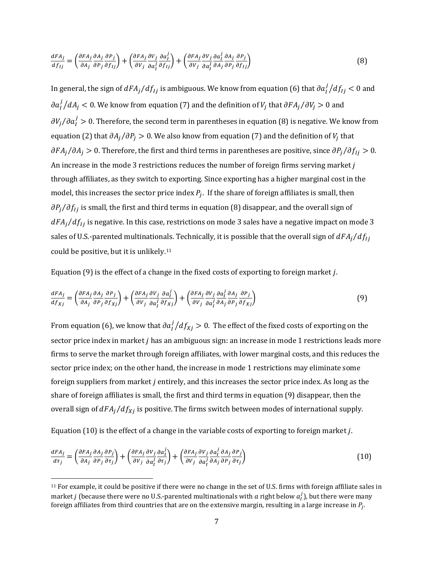$$
\frac{dFA_j}{df_{1j}} = \left(\frac{\partial FA_j}{\partial A_j} \frac{\partial A_j}{\partial P_j} \frac{\partial P_j}{\partial f_{1j}}\right) + \left(\frac{\partial FA_j}{\partial V_j} \frac{\partial V_j}{\partial a_l^j} \frac{\partial a_l^j}{\partial f_{1j}}\right) + \left(\frac{\partial FA_j}{\partial V_j} \frac{\partial V_j}{\partial a_l^j} \frac{\partial a_l^j}{\partial A_j} \frac{\partial A_j}{\partial P_j} \frac{\partial P_j}{\partial f_{1j}}\right) \tag{8}
$$

In general, the sign of  $dFA_j/df_{lj}$  is ambiguous. We know from equation (6) that  $\partial a_l^j/df_{lj} < 0$  and  $\partial a_l^j/dA_j < 0$ . We know from equation (7) and the definition of  $V_j$  that  $\partial FA_j/\partial V_j > 0$  and  $\partial V_j/\partial a_l^j > 0$ . Therefore, the second term in parentheses in equation (8) is negative. We know from equation (2) that  $\partial A_i/\partial P_i > 0$ . We also know from equation (7) and the definition of  $V_i$  that  $\partial F A_j / \partial A_j > 0$ . Therefore, the first and third terms in parentheses are positive, since  $\partial P_j / \partial f_{lj} > 0$ . An increase in the mode 3 restrictions reduces the number of foreign firms serving market  $j$ through affiliates, as they switch to exporting. Since exporting has a higher marginal cost in the model, this increases the sector price index  $P_i$ . If the share of foreign affiliates is small, then  $\partial P_j/\partial f_{lj}$  is small, the first and third terms in equation (8) disappear, and the overall sign of  $dFA_j/df_{1j}$  is negative. In this case, restrictions on mode 3 sales have a negative impact on mode 3 sales of U.S.-parented multinationals. Technically, it is possible that the overall sign of  $dFA_i/df_{1i}$ could be positive, but it is unlikely[.11](#page-7-0)

Equation  $(9)$  is the effect of a change in the fixed costs of exporting to foreign market *j*.

$$
\frac{dFA_j}{df_{Xj}} = \left(\frac{\partial FA_j}{\partial A_j} \frac{\partial A_j}{\partial P_j} \frac{\partial P_j}{\partial f_{Xj}}\right) + \left(\frac{\partial FA_j}{\partial V_j} \frac{\partial V_j}{\partial a_i^j} \frac{\partial a_i^j}{\partial f_{Xj}}\right) + \left(\frac{\partial FA_j}{\partial V_j} \frac{\partial V_j}{\partial a_i^j} \frac{\partial a_i^j}{\partial A_j} \frac{\partial A_j}{\partial P_j} \frac{\partial P_j}{\partial f_{Xj}}\right) \tag{9}
$$

From equation (6), we know that  $\partial a_l^j/df_{Xj} > 0$ . The effect of the fixed costs of exporting on the sector price index in market  $j$  has an ambiguous sign: an increase in mode 1 restrictions leads more firms to serve the market through foreign affiliates, with lower marginal costs, and this reduces the sector price index; on the other hand, the increase in mode 1 restrictions may eliminate some foreign suppliers from market  $j$  entirely, and this increases the sector price index. As long as the share of foreign affiliates is small, the first and third terms in equation (9) disappear, then the overall sign of  $dFA_j/df_{Xj}$  is positive. The firms switch between modes of international supply.

Equation (10) is the effect of a change in the variable costs of exporting to foreign market  $j$ .

l

$$
\frac{dFA_j}{d\tau_j} = \left(\frac{\partial FA_j}{\partial A_j} \frac{\partial A_j}{\partial P_j} \frac{\partial P_j}{\partial \tau_j}\right) + \left(\frac{\partial FA_j}{\partial V_j} \frac{\partial V_j}{\partial a_i^j} \frac{\partial a_i^j}{\partial \tau_j}\right) + \left(\frac{\partial FA_j}{\partial V_j} \frac{\partial V_j}{\partial a_i^j} \frac{\partial a_i^j}{\partial A_j} \frac{\partial A_j}{\partial P_j} \frac{\partial P_j}{\partial \tau_j}\right) \tag{10}
$$

<span id="page-7-0"></span><sup>&</sup>lt;sup>11</sup> For example, it could be positive if there were no change in the set of U.S. firms with foreign affiliate sales in market *j* (because there were no U.S.-parented multinationals with *a* right below  $a_l^j$ ), but there were many foreign affiliates from third countries that are on the extensive margin, resulting in a large increase in  $P_i$ .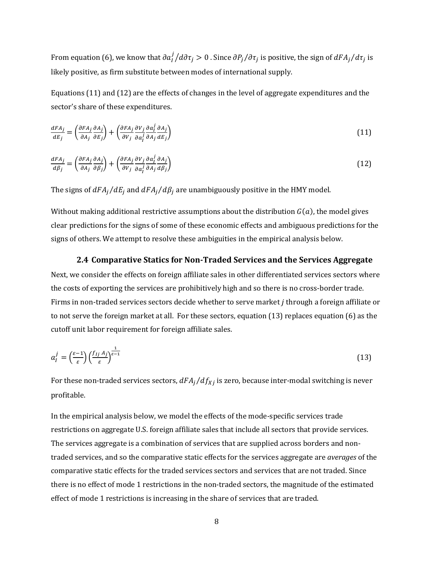From equation (6), we know that  $\partial a_l^j/d\partial \tau_j>0$  . Since  $\partial P_j/\partial \tau_j$  is positive, the sign of  $dFA_j/d\tau_j$  is likely positive, as firm substitute between modes of international supply.

Equations (11) and (12) are the effects of changes in the level of aggregate expenditures and the sector's share of these expenditures.

$$
\frac{dFA_j}{dE_j} = \left(\frac{\partial FA_j}{\partial A_j} \frac{\partial A_j}{\partial E_j}\right) + \left(\frac{\partial FA_j}{\partial V_j} \frac{\partial V_j}{\partial a_i^j} \frac{\partial a_i^j}{\partial A_j} \frac{\partial A_j}{\partial E_j}\right) \tag{11}
$$

$$
\frac{dFA_j}{d\beta_j} = \left(\frac{\partial FA_j}{\partial A_j} \frac{\partial A_j}{\partial \beta_j}\right) + \left(\frac{\partial FA_j}{\partial V_j} \frac{\partial V_j}{\partial a_i^j} \frac{\partial a_i^j}{\partial A_j} \frac{\partial A_j}{\partial \beta_j}\right) \tag{12}
$$

The signs of  $dFA_j/dE_j$  and  $dFA_j/d\beta_j$  are unambiguously positive in the HMY model.

Without making additional restrictive assumptions about the distribution  $G(a)$ , the model gives clear predictions for the signs of some of these economic effects and ambiguous predictions for the signs of others. We attempt to resolve these ambiguities in the empirical analysis below.

#### **2.4 Comparative Statics for Non-Traded Services and the Services Aggregate**

Next, we consider the effects on foreign affiliate sales in other differentiated services sectors where the costs of exporting the services are prohibitively high and so there is no cross-border trade. Firms in non-traded services sectors decide whether to serve market *j* through a foreign affiliate or to not serve the foreign market at all. For these sectors, equation (13) replaces equation (6) as the cutoff unit labor requirement for foreign affiliate sales.

$$
a_l^j = \left(\frac{\varepsilon - 1}{\varepsilon}\right) \left(\frac{f_{lj} A_j}{\varepsilon}\right)^{\frac{1}{\varepsilon - 1}}\tag{13}
$$

For these non-traded services sectors,  $dFA_j/df_{Xj}$  is zero, because inter-modal switching is never profitable.

In the empirical analysis below, we model the effects of the mode-specific services trade restrictions on aggregate U.S. foreign affiliate sales that include all sectors that provide services. The services aggregate is a combination of services that are supplied across borders and nontraded services, and so the comparative static effects for the services aggregate are *averages* of the comparative static effects for the traded services sectors and services that are not traded. Since there is no effect of mode 1 restrictions in the non-traded sectors, the magnitude of the estimated effect of mode 1 restrictions is increasing in the share of services that are traded.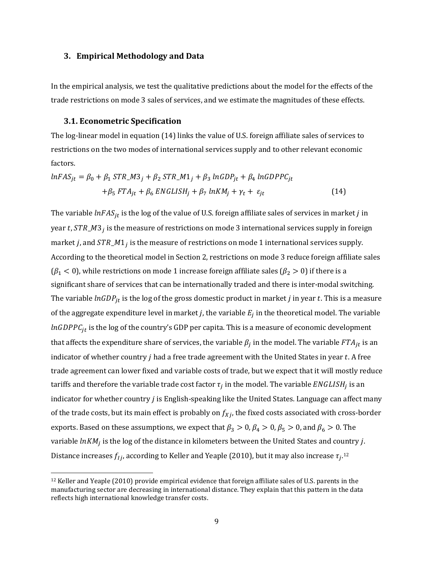### **3. Empirical Methodology and Data**

In the empirical analysis, we test the qualitative predictions about the model for the effects of the trade restrictions on mode 3 sales of services, and we estimate the magnitudes of these effects.

### **3.1. Econometric Specification**

 $\overline{\phantom{a}}$ 

The log-linear model in equation (14) links the value of U.S. foreign affiliate sales of services to restrictions on the two modes of international services supply and to other relevant economic factors.

$$
lnFAS_{jt} = \beta_0 + \beta_1 STR\_M3_j + \beta_2 STR\_M1_j + \beta_3 lnGDP_{jt} + \beta_4 lnGDPPC_{jt}
$$
  
+
$$
\beta_5 FTA_{jt} + \beta_6 ENGLISH_j + \beta_7 lnKM_j + \gamma_t + \varepsilon_{jt}
$$
 (14)

The variable  $lnFAS_{jt}$  is the log of the value of U.S. foreign affiliate sales of services in market *j* in year t,  $STR\_M3_i$  is the measure of restrictions on mode 3 international services supply in foreign market *j*, and  $STR\_M1_i$  is the measure of restrictions on mode 1 international services supply. According to the theoretical model in Section 2, restrictions on mode 3 reduce foreign affiliate sales  $(\beta_1 < 0)$ , while restrictions on mode 1 increase foreign affiliate sales  $(\beta_2 > 0)$  if there is a significant share of services that can be internationally traded and there is inter-modal switching. The variable *lnGDP<sub>it</sub>* is the log of the gross domestic product in market *j* in year *t*. This is a measure of the aggregate expenditure level in market *j*, the variable  $E_i$  in the theoretical model. The variable  $ln GDPC_{it}$  is the log of the country's GDP per capita. This is a measure of economic development that affects the expenditure share of services, the variable  $\beta_i$  in the model. The variable  $FTA_{it}$  is an indicator of whether country  $j$  had a free trade agreement with the United States in year  $t$ . A free trade agreement can lower fixed and variable costs of trade, but we expect that it will mostly reduce tariffs and therefore the variable trade cost factor  $\tau_i$  in the model. The variable *ENGLISH*<sub>i</sub> is an indicator for whether country  $j$  is English-speaking like the United States. Language can affect many of the trade costs, but its main effect is probably on  $f_{X,i}$ , the fixed costs associated with cross-border exports. Based on these assumptions, we expect that  $\beta_3 > 0$ ,  $\beta_4 > 0$ ,  $\beta_5 > 0$ , and  $\beta_6 > 0$ . The variable  $lnKM_j$  is the log of the distance in kilometers between the United States and country j. Distance increases  $f_{Ij}$ , according to Keller and Yeaple (2010), but it may also increase  $\tau_{i}$ .<sup>[12](#page-9-0)</sup>

<span id="page-9-0"></span><sup>12</sup> Keller and Yeaple (2010) provide empirical evidence that foreign affiliate sales of U.S. parents in the manufacturing sector are decreasing in international distance. They explain that this pattern in the data reflects high international knowledge transfer costs.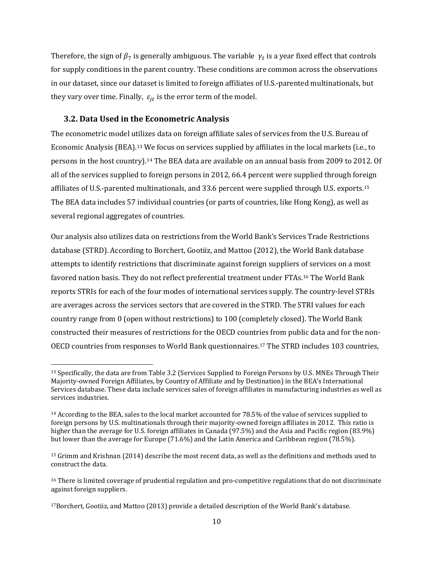Therefore, the sign of  $\beta_7$  is generally ambiguous. The variable  $\gamma_t$  is a year fixed effect that controls for supply conditions in the parent country. These conditions are common across the observations in our dataset, since our dataset is limited to foreign affiliates of U.S.-parented multinationals, but they vary over time. Finally,  $\varepsilon_{it}$  is the error term of the model.

### **3.2. Data Used in the Econometric Analysis**

 $\overline{\phantom{a}}$ 

The econometric model utilizes data on foreign affiliate sales of services from the U.S. Bureau of Economic Analysis (BEA).[13](#page-10-0) We focus on services supplied by affiliates in the local markets (i.e., to persons in the host country).[14](#page-10-1) The BEA data are available on an annual basis from 2009 to 2012. Of all of the services supplied to foreign persons in 2012, 66.4 percent were supplied through foreign affiliates of U.S.-parented multinationals, and 33.6 percent were supplied through U.S. exports.[15](#page-10-2) The BEA data includes 57 individual countries (or parts of countries, like Hong Kong), as well as several regional aggregates of countries.

Our analysis also utilizes data on restrictions from the World Bank's Services Trade Restrictions database (STRD). According to Borchert, Gootiiz, and Mattoo (2012), the World Bank database attempts to identify restrictions that discriminate against foreign suppliers of services on a most favored nation basis. They do not reflect preferential treatment under FTAs.[16](#page-10-3) The World Bank reports STRIs for each of the four modes of international services supply. The country-level STRIs are averages across the services sectors that are covered in the STRD. The STRI values for each country range from 0 (open without restrictions) to 100 (completely closed). The World Bank constructed their measures of restrictions for the OECD countries from public data and for the non-OECD countries from responses to World Bank questionnaires.[17](#page-10-4) The STRD includes 103 countries,

<span id="page-10-0"></span><sup>13</sup> Specifically, the data are from Table 3.2 (Services Supplied to Foreign Persons by U.S. MNEs Through Their Majority-owned Foreign Affiliates, by Country of Affiliate and by Destination) in the BEA's International Services database. These data include services sales of foreign affiliates in manufacturing industries as well as services industries.

<span id="page-10-1"></span><sup>&</sup>lt;sup>14</sup> According to the BEA, sales to the local market accounted for 78.5% of the value of services supplied to foreign persons by U.S. multinationals through their majority-owned foreign affiliates in 2012. This ratio is higher than the average for U.S. foreign affiliates in Canada (97.5%) and the Asia and Pacific region (83.9%) but lower than the average for Europe (71.6%) and the Latin America and Caribbean region (78.5%).

<span id="page-10-2"></span><sup>15</sup> Grimm and Krishnan (2014) describe the most recent data, as well as the definitions and methods used to construct the data.

<span id="page-10-3"></span><sup>&</sup>lt;sup>16</sup> There is limited coverage of prudential regulation and pro-competitive regulations that do not discriminate against foreign suppliers.

<span id="page-10-4"></span><sup>17</sup>Borchert, Gootiiz, and Mattoo (2013) provide a detailed description of the World Bank's database.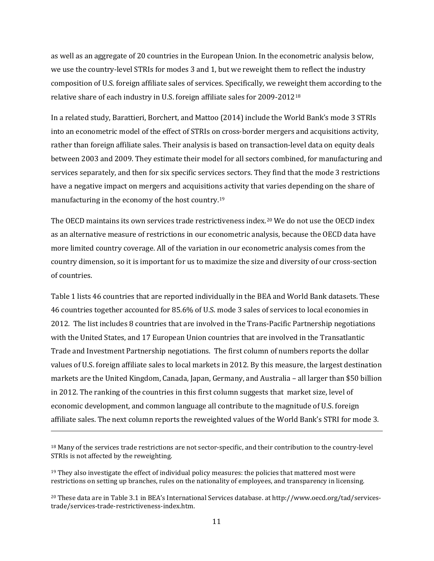as well as an aggregate of 20 countries in the European Union. In the econometric analysis below, we use the country-level STRIs for modes 3 and 1, but we reweight them to reflect the industry composition of U.S. foreign affiliate sales of services. Specifically, we reweight them according to the relative share of each industry in U.S. foreign affiliate sales for 2009-2012[18](#page-11-0)

In a related study, Barattieri, Borchert, and Mattoo (2014) include the World Bank's mode 3 STRIs into an econometric model of the effect of STRIs on cross-border mergers and acquisitions activity, rather than foreign affiliate sales. Their analysis is based on transaction-level data on equity deals between 2003 and 2009. They estimate their model for all sectors combined, for manufacturing and services separately, and then for six specific services sectors. They find that the mode 3 restrictions have a negative impact on mergers and acquisitions activity that varies depending on the share of manufacturing in the economy of the host country[.19](#page-11-1)

The OECD maintains its own services trade restrictiveness index.<sup>[20](#page-11-2)</sup> We do not use the OECD index as an alternative measure of restrictions in our econometric analysis, because the OECD data have more limited country coverage. All of the variation in our econometric analysis comes from the country dimension, so it is important for us to maximize the size and diversity of our cross-section of countries.

Table 1 lists 46 countries that are reported individually in the BEA and World Bank datasets. These 46 countries together accounted for 85.6% of U.S. mode 3 sales of services to local economies in 2012. The list includes 8 countries that are involved in the Trans-Pacific Partnership negotiations with the United States, and 17 European Union countries that are involved in the Transatlantic Trade and Investment Partnership negotiations. The first column of numbers reports the dollar values of U.S. foreign affiliate sales to local markets in 2012. By this measure, the largest destination markets are the United Kingdom, Canada, Japan, Germany, and Australia – all larger than \$50 billion in 2012. The ranking of the countries in this first column suggests that market size, level of economic development, and common language all contribute to the magnitude of U.S. foreign affiliate sales. The next column reports the reweighted values of the World Bank's STRI for mode 3.

l

<span id="page-11-0"></span><sup>&</sup>lt;sup>18</sup> Many of the services trade restrictions are not sector-specific, and their contribution to the country-level STRIs is not affected by the reweighting.

<span id="page-11-1"></span> $19$  They also investigate the effect of individual policy measures: the policies that mattered most were restrictions on setting up branches, rules on the nationality of employees, and transparency in licensing.

<span id="page-11-2"></span><sup>20</sup> These data are in Table 3.1 in BEA's International Services database. at http://www.oecd.org/tad/servicestrade/services-trade-restrictiveness-index.htm.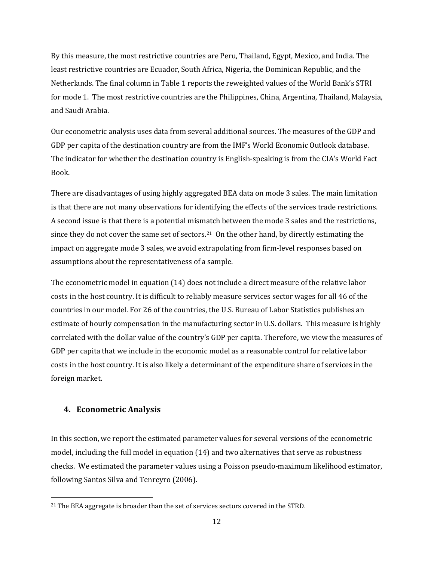By this measure, the most restrictive countries are Peru, Thailand, Egypt, Mexico, and India. The least restrictive countries are Ecuador, South Africa, Nigeria, the Dominican Republic, and the Netherlands. The final column in Table 1 reports the reweighted values of the World Bank's STRI for mode 1. The most restrictive countries are the Philippines, China, Argentina, Thailand, Malaysia, and Saudi Arabia.

Our econometric analysis uses data from several additional sources. The measures of the GDP and GDP per capita of the destination country are from the IMF's World Economic Outlook database. The indicator for whether the destination country is English-speaking is from the CIA's World Fact Book.

There are disadvantages of using highly aggregated BEA data on mode 3 sales. The main limitation is that there are not many observations for identifying the effects of the services trade restrictions. A second issue is that there is a potential mismatch between the mode 3 sales and the restrictions, since they do not cover the same set of sectors.[21](#page-12-0) On the other hand, by directly estimating the impact on aggregate mode 3 sales, we avoid extrapolating from firm-level responses based on assumptions about the representativeness of a sample.

The econometric model in equation (14) does not include a direct measure of the relative labor costs in the host country. It is difficult to reliably measure services sector wages for all 46 of the countries in our model. For 26 of the countries, the U.S. Bureau of Labor Statistics publishes an estimate of hourly compensation in the manufacturing sector in U.S. dollars. This measure is highly correlated with the dollar value of the country's GDP per capita. Therefore, we view the measures of GDP per capita that we include in the economic model as a reasonable control for relative labor costs in the host country. It is also likely a determinant of the expenditure share of services in the foreign market.

## **4. Econometric Analysis**

l

In this section, we report the estimated parameter values for several versions of the econometric model, including the full model in equation (14) and two alternatives that serve as robustness checks. We estimated the parameter values using a Poisson pseudo-maximum likelihood estimator, following Santos Silva and Tenreyro (2006).

<span id="page-12-0"></span><sup>&</sup>lt;sup>21</sup> The BEA aggregate is broader than the set of services sectors covered in the STRD.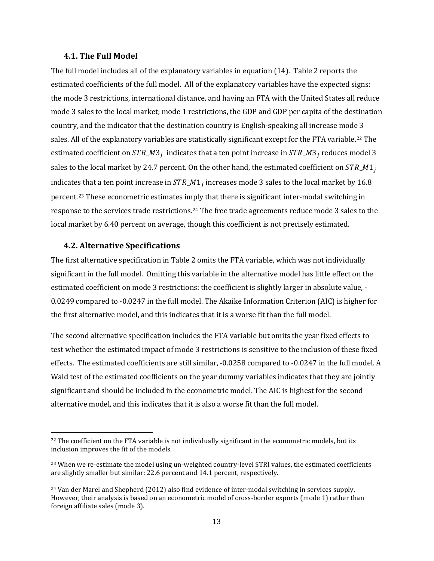#### **4.1. The Full Model**

The full model includes all of the explanatory variables in equation (14). Table 2 reports the estimated coefficients of the full model. All of the explanatory variables have the expected signs: the mode 3 restrictions, international distance, and having an FTA with the United States all reduce mode 3 sales to the local market; mode 1 restrictions, the GDP and GDP per capita of the destination country, and the indicator that the destination country is English-speaking all increase mode 3 sales. All of the explanatory variables are statistically significant except for the FTA variable.<sup>[22](#page-13-0)</sup> The estimated coefficient on  $STR\_M3_i$  indicates that a ten point increase in  $STR\_M3_i$  reduces model 3 sales to the local market by 24.7 percent. On the other hand, the estimated coefficient on  $STR\_M1$ , indicates that a ten point increase in  $STR\_M1_i$  increases mode 3 sales to the local market by 16.8 percent.[23](#page-13-1) These econometric estimates imply that there is significant inter-modal switching in response to the services trade restrictions.[24](#page-13-2) The free trade agreements reduce mode 3 sales to the local market by 6.40 percent on average, though this coefficient is not precisely estimated.

### **4.2. Alternative Specifications**

 $\overline{\phantom{a}}$ 

The first alternative specification in Table 2 omits the FTA variable, which was not individually significant in the full model. Omitting this variable in the alternative model has little effect on the estimated coefficient on mode 3 restrictions: the coefficient is slightly larger in absolute value, - 0.0249 compared to -0.0247 in the full model. The Akaike Information Criterion (AIC) is higher for the first alternative model, and this indicates that it is a worse fit than the full model.

The second alternative specification includes the FTA variable but omits the year fixed effects to test whether the estimated impact of mode 3 restrictions is sensitive to the inclusion of these fixed effects. The estimated coefficients are still similar, -0.0258 compared to -0.0247 in the full model. A Wald test of the estimated coefficients on the year dummy variables indicates that they are jointly significant and should be included in the econometric model. The AIC is highest for the second alternative model, and this indicates that it is also a worse fit than the full model.

<span id="page-13-0"></span><sup>&</sup>lt;sup>22</sup> The coefficient on the FTA variable is not individually significant in the econometric models, but its inclusion improves the fit of the models.

<span id="page-13-1"></span><sup>&</sup>lt;sup>23</sup> When we re-estimate the model using un-weighted country-level STRI values, the estimated coefficients are slightly smaller but similar: 22.6 percent and 14.1 percent, respectively.

<span id="page-13-2"></span><sup>24</sup> Van der Marel and Shepherd (2012) also find evidence of inter-modal switching in services supply. However, their analysis is based on an econometric model of cross-border exports (mode 1) rather than foreign affiliate sales (mode 3).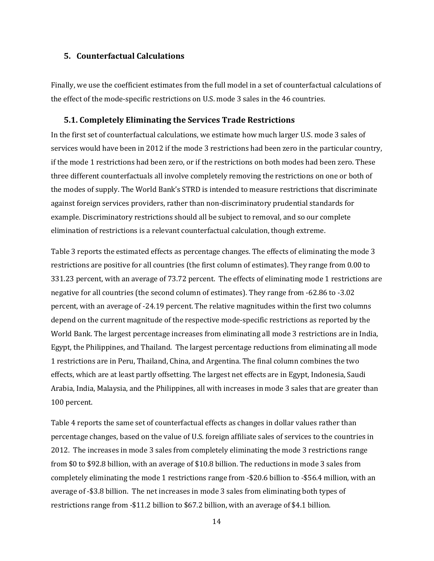### **5. Counterfactual Calculations**

Finally, we use the coefficient estimates from the full model in a set of counterfactual calculations of the effect of the mode-specific restrictions on U.S. mode 3 sales in the 46 countries.

### **5.1. Completely Eliminating the Services Trade Restrictions**

In the first set of counterfactual calculations, we estimate how much larger U.S. mode 3 sales of services would have been in 2012 if the mode 3 restrictions had been zero in the particular country, if the mode 1 restrictions had been zero, or if the restrictions on both modes had been zero. These three different counterfactuals all involve completely removing the restrictions on one or both of the modes of supply. The World Bank's STRD is intended to measure restrictions that discriminate against foreign services providers, rather than non-discriminatory prudential standards for example. Discriminatory restrictions should all be subject to removal, and so our complete elimination of restrictions is a relevant counterfactual calculation, though extreme.

Table 3 reports the estimated effects as percentage changes. The effects of eliminating the mode 3 restrictions are positive for all countries (the first column of estimates). They range from 0.00 to 331.23 percent, with an average of 73.72 percent. The effects of eliminating mode 1 restrictions are negative for all countries (the second column of estimates). They range from -62.86 to -3.02 percent, with an average of -24.19 percent. The relative magnitudes within the first two columns depend on the current magnitude of the respective mode-specific restrictions as reported by the World Bank. The largest percentage increases from eliminating all mode 3 restrictions are in India, Egypt, the Philippines, and Thailand. The largest percentage reductions from eliminating all mode 1 restrictions are in Peru, Thailand, China, and Argentina. The final column combines the two effects, which are at least partly offsetting. The largest net effects are in Egypt, Indonesia, Saudi Arabia, India, Malaysia, and the Philippines, all with increases in mode 3 sales that are greater than 100 percent.

Table 4 reports the same set of counterfactual effects as changes in dollar values rather than percentage changes, based on the value of U.S. foreign affiliate sales of services to the countries in 2012. The increases in mode 3 sales from completely eliminating the mode 3 restrictions range from \$0 to \$92.8 billion, with an average of \$10.8 billion. The reductions in mode 3 sales from completely eliminating the mode 1 restrictions range from -\$20.6 billion to -\$56.4 million, with an average of -\$3.8 billion. The net increases in mode 3 sales from eliminating both types of restrictions range from -\$11.2 billion to \$67.2 billion, with an average of \$4.1 billion.

14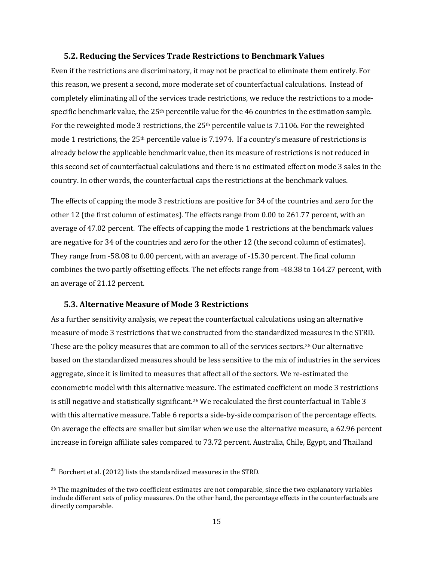#### **5.2. Reducing the Services Trade Restrictions to Benchmark Values**

Even if the restrictions are discriminatory, it may not be practical to eliminate them entirely. For this reason, we present a second, more moderate set of counterfactual calculations. Instead of completely eliminating all of the services trade restrictions, we reduce the restrictions to a modespecific benchmark value, the 25<sup>th</sup> percentile value for the 46 countries in the estimation sample. For the reweighted mode 3 restrictions, the  $25<sup>th</sup>$  percentile value is 7.1106. For the reweighted mode 1 restrictions, the 25th percentile value is 7.1974. If a country's measure of restrictions is already below the applicable benchmark value, then its measure of restrictions is not reduced in this second set of counterfactual calculations and there is no estimated effect on mode 3 sales in the country. In other words, the counterfactual caps the restrictions at the benchmark values.

The effects of capping the mode 3 restrictions are positive for 34 of the countries and zero for the other 12 (the first column of estimates). The effects range from 0.00 to 261.77 percent, with an average of 47.02 percent. The effects of capping the mode 1 restrictions at the benchmark values are negative for 34 of the countries and zero for the other 12 (the second column of estimates). They range from -58.08 to 0.00 percent, with an average of -15.30 percent. The final column combines the two partly offsetting effects. The net effects range from -48.38 to 164.27 percent, with an average of 21.12 percent.

### **5.3. Alternative Measure of Mode 3 Restrictions**

As a further sensitivity analysis, we repeat the counterfactual calculations using an alternative measure of mode 3 restrictions that we constructed from the standardized measures in the STRD. These are the policy measures that are common to all of the services sectors.[25](#page-15-0) Our alternative based on the standardized measures should be less sensitive to the mix of industries in the services aggregate, since it is limited to measures that affect all of the sectors. We re-estimated the econometric model with this alternative measure. The estimated coefficient on mode 3 restrictions is still negative and statistically significant.<sup>26</sup> We recalculated the first counterfactual in Table 3 with this alternative measure. Table 6 reports a side-by-side comparison of the percentage effects. On average the effects are smaller but similar when we use the alternative measure, a 62.96 percent increase in foreign affiliate sales compared to 73.72 percent. Australia, Chile, Egypt, and Thailand

l

<span id="page-15-0"></span> $^{25}$  Borchert et al. (2012) lists the standardized measures in the STRD.

<span id="page-15-1"></span><sup>&</sup>lt;sup>26</sup> The magnitudes of the two coefficient estimates are not comparable, since the two explanatory variables include different sets of policy measures. On the other hand, the percentage effects in the counterfactuals are directly comparable.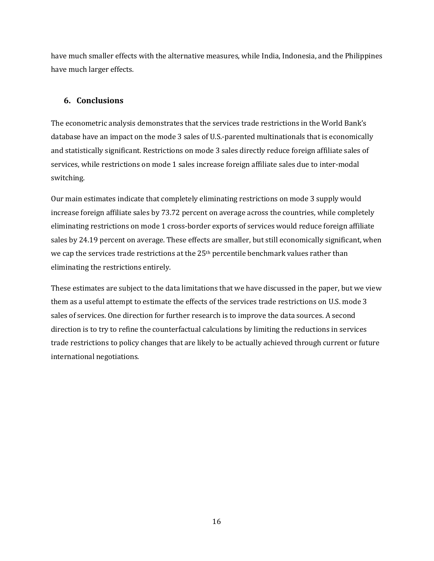have much smaller effects with the alternative measures, while India, Indonesia, and the Philippines have much larger effects.

## **6. Conclusions**

The econometric analysis demonstrates that the services trade restrictions in the World Bank's database have an impact on the mode 3 sales of U.S.-parented multinationals that is economically and statistically significant. Restrictions on mode 3 sales directly reduce foreign affiliate sales of services, while restrictions on mode 1 sales increase foreign affiliate sales due to inter-modal switching.

Our main estimates indicate that completely eliminating restrictions on mode 3 supply would increase foreign affiliate sales by 73.72 percent on average across the countries, while completely eliminating restrictions on mode 1 cross-border exports of services would reduce foreign affiliate sales by 24.19 percent on average. These effects are smaller, but still economically significant, when we cap the services trade restrictions at the 25th percentile benchmark values rather than eliminating the restrictions entirely.

These estimates are subject to the data limitations that we have discussed in the paper, but we view them as a useful attempt to estimate the effects of the services trade restrictions on U.S. mode 3 sales of services. One direction for further research is to improve the data sources. A second direction is to try to refine the counterfactual calculations by limiting the reductions in services trade restrictions to policy changes that are likely to be actually achieved through current or future international negotiations.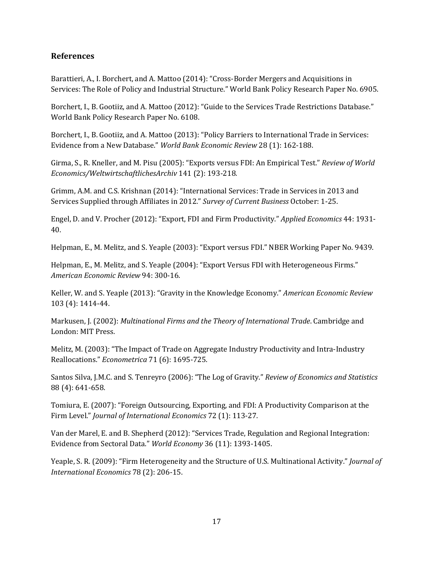## **References**

Barattieri, A., I. Borchert, and A. Mattoo (2014): "Cross-Border Mergers and Acquisitions in Services: The Role of Policy and Industrial Structure." World Bank Policy Research Paper No. 6905.

Borchert, I., B. Gootiiz, and A. Mattoo (2012): "Guide to the Services Trade Restrictions Database." World Bank Policy Research Paper No. 6108.

Borchert, I., B. Gootiiz, and A. Mattoo (2013): "Policy Barriers to International Trade in Services: Evidence from a New Database." *World Bank Economic Review* 28 (1): 162-188.

Girma, S., R. Kneller, and M. Pisu (2005): "Exports versus FDI: An Empirical Test." *Review of World Economics/WeltwirtschaftlichesArchiv* 141 (2): 193-218*.*

Grimm, A.M. and C.S. Krishnan (2014): "International Services: Trade in Services in 2013 and Services Supplied through Affiliates in 2012." *Survey of Current Business* October: 1-25.

Engel, D. and V. Procher (2012): "Export, FDI and Firm Productivity." *Applied Economics* 44: 1931- 40.

Helpman, E., M. Melitz, and S. Yeaple (2003): "Export versus FDI." NBER Working Paper No. 9439.

Helpman, E., M. Melitz, and S. Yeaple (2004): "Export Versus FDI with Heterogeneous Firms." *American Economic Review* 94: 300-16.

Keller, W. and S. Yeaple (2013): "Gravity in the Knowledge Economy." *American Economic Review*  103 (4): 1414-44.

Markusen, J. (2002): *Multinational Firms and the Theory of International Trade*. Cambridge and London: MIT Press.

Melitz, M. (2003): "The Impact of Trade on Aggregate Industry Productivity and Intra-Industry Reallocations." *Econometrica* 71 (6): 1695-725.

Santos Silva, J.M.C. and S. Tenreyro (2006): "The Log of Gravity." *Review of Economics and Statistics* 88 (4): 641-658.

Tomiura, E. (2007): "Foreign Outsourcing, Exporting, and FDI: A Productivity Comparison at the Firm Level." *Journal of International Economics* 72 (1): 113-27.

Van der Marel, E. and B. Shepherd (2012): "Services Trade, Regulation and Regional Integration: Evidence from Sectoral Data." *World Economy* 36 (11): 1393-1405.

Yeaple, S. R. (2009): "Firm Heterogeneity and the Structure of U.S. Multinational Activity." *Journal of International Economics* 78 (2): 206-15.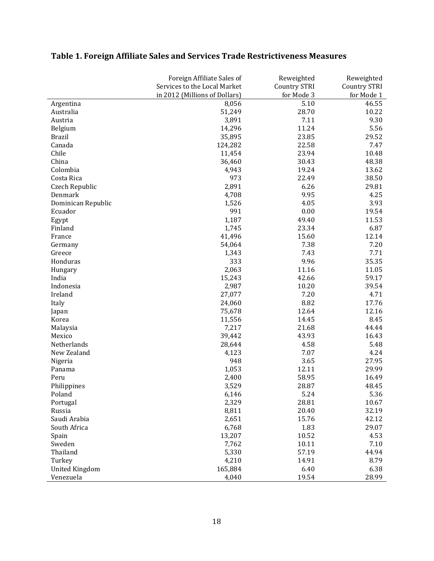|                       | Foreign Affiliate Sales of    | Reweighted          | Reweighted          |
|-----------------------|-------------------------------|---------------------|---------------------|
|                       | Services to the Local Market  | <b>Country STRI</b> | <b>Country STRI</b> |
|                       | in 2012 (Millions of Dollars) | for Mode 3          | for Mode 1          |
| Argentina             | 8,056                         | 5.10                | 46.55               |
| Australia             | 51,249                        | 28.70               | 10.22               |
| Austria               | 3,891                         | 7.11                | 9.30                |
| Belgium               | 14,296                        | 11.24               | 5.56                |
| <b>Brazil</b>         | 35,895                        | 23.85               | 29.52               |
| Canada                | 124,282                       | 22.58               | 7.47                |
| Chile                 | 11,454                        | 23.94               | 10.48               |
| China                 | 36,460                        | 30.43               | 48.38               |
| Colombia              | 4,943                         | 19.24               | 13.62               |
| Costa Rica            | 973                           | 22.49               | 38.50               |
| Czech Republic        | 2,891                         | 6.26                | 29.81               |
| Denmark               | 4,708                         | 9.95                | 4.25                |
| Dominican Republic    | 1,526                         | 4.05                | 3.93                |
| Ecuador               | 991                           | 0.00                | 19.54               |
| Egypt                 | 1,187                         | 49.40               | 11.53               |
| Finland               | 1,745                         | 23.34               | 6.87                |
| France                | 41,496                        | 15.60               | 12.14               |
| Germany               | 54,064                        | 7.38                | 7.20                |
| Greece                | 1,343                         | 7.43                | 7.71                |
| Honduras              | 333                           | 9.96                | 35.35               |
| Hungary               | 2,063                         | 11.16               | 11.05               |
| India                 | 15,243                        | 42.66               | 59.17               |
| Indonesia             | 2,987                         | 10.20               | 39.54               |
| Ireland               | 27,077                        | 7.20                | 4.71                |
| Italy                 | 24,060                        | 8.82                | 17.76               |
| Japan                 | 75,678                        | 12.64               | 12.16               |
| Korea                 | 11,556                        | 14.45               | 8.45                |
| Malaysia              | 7,217                         | 21.68               | 44.44               |
| Mexico                | 39,442                        | 43.93               | 16.43               |
| Netherlands           | 28,644                        | 4.58                | 5.48                |
| New Zealand           | 4,123                         | 7.07                | 4.24                |
| Nigeria               | 948                           | 3.65                | 27.95               |
| Panama                | 1,053                         | 12.11               | 29.99               |
| Peru                  | 2,400                         | 58.95               | 16.49               |
|                       | 3,529                         | 28.87               | 48.45               |
| Philippines<br>Poland |                               | 5.24                |                     |
|                       | 6,146                         |                     | 5.36                |
| Portugal              | 2,329                         | 28.81               | 10.67               |
| Russia                | 8,811                         | 20.40               | 32.19               |
| Saudi Arabia          | 2,651                         | 15.76               | 42.12               |
| South Africa          | 6,768                         | 1.83                | 29.07               |
| Spain                 | 13,207                        | 10.52               | 4.53                |
| Sweden                | 7,762                         | 10.11               | 7.10                |
| Thailand              | 5,330                         | 57.19               | 44.94               |
| Turkey                | 4,210                         | 14.91               | 8.79                |
| <b>United Kingdom</b> | 165,884                       | 6.40                | 6.38                |
| Venezuela             | 4,040                         | 19.54               | 28.99               |

# **Table 1. Foreign Affiliate Sales and Services Trade Restrictiveness Measures**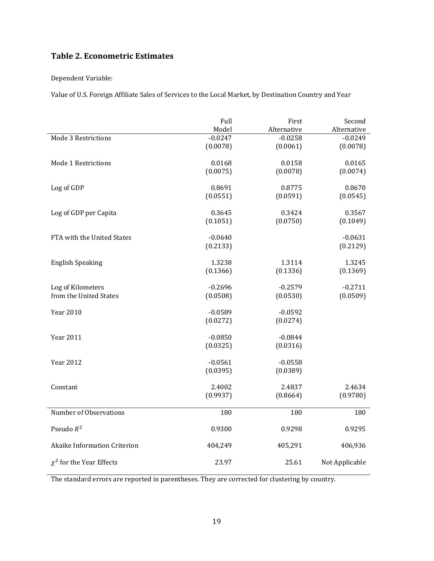## **Table 2. Econometric Estimates**

Dependent Variable:

Value of U.S. Foreign Affiliate Sales of Services to the Local Market, by Destination Country and Year

|                               | Full      | First       | Second         |
|-------------------------------|-----------|-------------|----------------|
|                               | Model     | Alternative | Alternative    |
| Mode 3 Restrictions           | $-0.0247$ | $-0.0258$   | $-0.0249$      |
|                               | (0.0078)  | (0.0061)    | (0.0078)       |
| Mode 1 Restrictions           | 0.0168    | 0.0158      | 0.0165         |
|                               | (0.0075)  | (0.0078)    | (0.0074)       |
|                               |           |             |                |
| Log of GDP                    | 0.8691    | 0.8775      | 0.8670         |
|                               | (0.0551)  | (0.0591)    | (0.0545)       |
|                               |           |             |                |
| Log of GDP per Capita         | 0.3645    | 0.3424      | 0.3567         |
|                               | (0.1051)  | (0.0750)    | (0.1049)       |
|                               |           |             |                |
| FTA with the United States    | $-0.0640$ |             | $-0.0631$      |
|                               | (0.2133)  |             | (0.2129)       |
| <b>English Speaking</b>       | 1.3238    | 1.3114      | 1.3245         |
|                               |           |             |                |
|                               | (0.1366)  | (0.1336)    | (0.1369)       |
| Log of Kilometers             | $-0.2696$ | $-0.2579$   | $-0.2711$      |
| from the United States        | (0.0508)  | (0.0530)    | (0.0509)       |
|                               |           |             |                |
| <b>Year 2010</b>              | $-0.0589$ | $-0.0592$   |                |
|                               | (0.0272)  | (0.0274)    |                |
|                               |           |             |                |
| <b>Year 2011</b>              | $-0.0850$ | $-0.0844$   |                |
|                               | (0.0325)  | (0.0316)    |                |
|                               |           |             |                |
| <b>Year 2012</b>              | $-0.0561$ | $-0.0558$   |                |
|                               | (0.0395)  | (0.0389)    |                |
| Constant                      | 2.4002    | 2.4837      | 2.4634         |
|                               | (0.9937)  | (0.8664)    | (0.9780)       |
|                               |           |             |                |
| Number of Observations        | 180       | 180         | 180            |
|                               |           |             |                |
| Pseudo $R^2$                  | 0.9300    | 0.9298      | 0.9295         |
|                               |           |             |                |
| Akaike Information Criterion  | 404,249   | 405,291     | 406,936        |
|                               |           |             |                |
| $\chi^2$ for the Year Effects | 23.97     | 25.61       | Not Applicable |

The standard errors are reported in parentheses. They are corrected for clustering by country.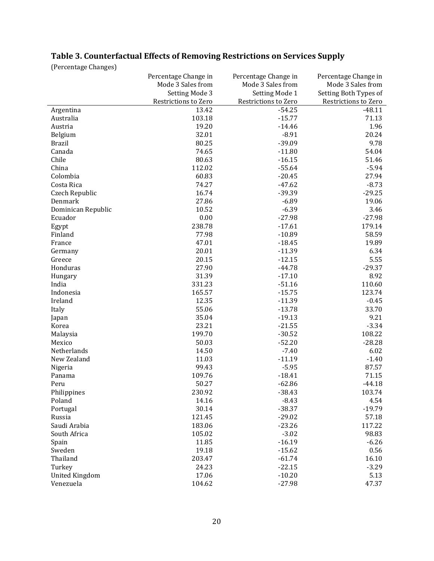| Table 3. Counterfactual Effects of Removing Restrictions on Services Supply |  |  |  |
|-----------------------------------------------------------------------------|--|--|--|
|                                                                             |  |  |  |

(Percentage Changes)

|                       | Percentage Change in | Percentage Change in | Percentage Change in  |
|-----------------------|----------------------|----------------------|-----------------------|
|                       | Mode 3 Sales from    | Mode 3 Sales from    | Mode 3 Sales from     |
|                       | Setting Mode 3       | Setting Mode 1       | Setting Both Types of |
|                       | Restrictions to Zero | Restrictions to Zero | Restrictions to Zero  |
| Argentina             | 13.42                | $-54.25$             | $-48.11$              |
| Australia             | 103.18               | $-15.77$             | 71.13                 |
| Austria               | 19.20                | $-14.46$             | 1.96                  |
| Belgium               | 32.01                | $-8.91$              | 20.24                 |
| <b>Brazil</b>         | 80.25                | $-39.09$             | 9.78                  |
| Canada                | 74.65                | $-11.80$             | 54.04                 |
| Chile                 | 80.63                | $-16.15$             | 51.46                 |
| China                 | 112.02               | $-55.64$             | $-5.94$               |
| Colombia              | 60.83                | $-20.45$             | 27.94                 |
| Costa Rica            | 74.27                | $-47.62$             | $-8.73$               |
| Czech Republic        | 16.74                | $-39.39$             | $-29.25$              |
| Denmark               | 27.86                | $-6.89$              | 19.06                 |
| Dominican Republic    | 10.52                | $-6.39$              | 3.46                  |
| Ecuador               | 0.00                 | $-27.98$             | $-27.98$              |
| Egypt                 | 238.78               | $-17.61$             | 179.14                |
| Finland               | 77.98                | $-10.89$             | 58.59                 |
| France                | 47.01                | $-18.45$             | 19.89                 |
| Germany               | 20.01                | $-11.39$             | 6.34                  |
| Greece                | 20.15                | $-12.15$             | 5.55                  |
| Honduras              | 27.90                | $-44.78$             | $-29.37$              |
| Hungary               | 31.39                | $-17.10$             | 8.92                  |
| India                 | 331.23               | $-51.16$             | 110.60                |
| Indonesia             | 165.57               | $-15.75$             | 123.74                |
| Ireland               | 12.35                | $-11.39$             | $-0.45$               |
| Italy                 | 55.06                | $-13.78$             | 33.70                 |
| Japan                 | 35.04                | $-19.13$             | 9.21                  |
| Korea                 | 23.21                | $-21.55$             | $-3.34$               |
| Malaysia              | 199.70               | $-30.52$             | 108.22                |
| Mexico                | 50.03                | $-52.20$             | $-28.28$              |
| Netherlands           | 14.50                | $-7.40$              | 6.02                  |
| New Zealand           | 11.03                | $-11.19$             | $-1.40$               |
| Nigeria               | 99.43                | $-5.95$              | 87.57                 |
| Panama                | 109.76               | $-18.41$             | 71.15                 |
| Peru                  | 50.27                | $-62.86$             | $-44.18$              |
| Philippines           | 230.92               | $-38.43$             | 103.74                |
| Poland                | 14.16                | $-8.43$              | 4.54                  |
| Portugal              | 30.14                | $-38.37$             | $-19.79$              |
| Russia                | 121.45               | $-29.02$             | 57.18                 |
| Saudi Arabia          | 183.06               | $-23.26$             | 117.22                |
| South Africa          | 105.02               | $-3.02$              | 98.83                 |
| Spain                 | 11.85                | $-16.19$             | $-6.26$               |
| Sweden                | 19.18                | $-15.62$             | 0.56                  |
| Thailand              | 203.47               | $-61.74$             | 16.10                 |
| Turkey                | 24.23                | $-22.15$             | $-3.29$               |
| <b>United Kingdom</b> | 17.06                | $-10.20$             | 5.13                  |
| Venezuela             | 104.62               | $-27.98$             | 47.37                 |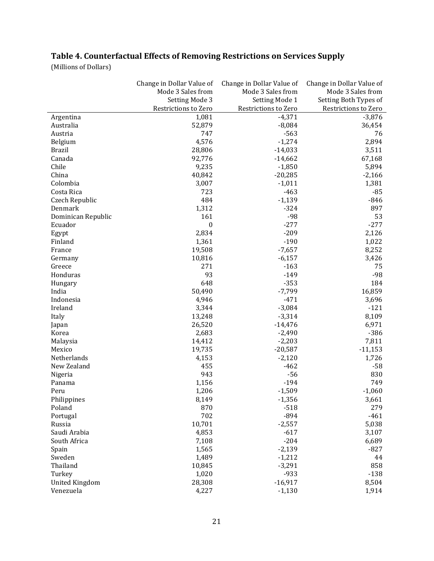## **Table 4. Counterfactual Effects of Removing Restrictions on Services Supply**

(Millions of Dollars)

| Setting Mode 3<br>Setting Mode 1<br>Setting Both Types of<br>Restrictions to Zero<br>Restrictions to Zero<br>Restrictions to Zero<br>$-4,371$<br>1,081<br>$-3,876$<br>Argentina<br>Australia<br>52,879<br>36,454<br>$-8,084$<br>747<br>$-563$<br>Austria<br>76<br>4,576<br>$-1,274$<br>2,894<br>Belgium<br>28,806<br>$-14,033$<br>3,511<br><b>Brazil</b><br>92,776<br>Canada<br>$-14,662$<br>67,168<br>Chile<br>9,235<br>$-1,850$<br>5,894<br>China<br>40,842<br>$-20,285$<br>$-2,166$<br>$-1,011$<br>1,381<br>Colombia<br>3,007<br>723<br>$-463$<br>$-85$<br>Costa Rica<br>484<br>$-1,139$<br>$-846$<br>Czech Republic<br>$-324$<br>897<br>Denmark<br>1,312<br>$-98$<br>53<br>161<br>Dominican Republic<br>$\boldsymbol{0}$<br>$-277$<br>$-277$<br>Ecuador<br>2,834<br>$-209$<br>2,126<br>Egypt<br>$-190$<br>Finland<br>1,361<br>1,022<br>8,252<br>19,508<br>$-7,657$<br>France<br>$-6,157$<br>3,426<br>10,816<br>Germany<br>Greece<br>271<br>$-163$<br>75<br>93<br>$-98$<br>Honduras<br>$-149$<br>184<br>648<br>$-353$<br>Hungary<br>50,490<br>$-7,799$<br>16,859<br>India<br>Indonesia<br>$-471$<br>3,696<br>4,946<br>$-3,084$<br>$-121$<br>Ireland<br>3,344<br>$-3,314$<br>13,248<br>8,109<br>Italy<br>26,520<br>$-14,476$<br>6,971<br>Japan<br>$-386$<br>2,683<br>$-2,490$<br>Korea<br>14,412<br>$-2,203$<br>7,811<br>Malaysia<br>19,735<br>$-20,587$<br>$-11,153$<br>Mexico<br>$-2,120$<br>4,153<br>1,726<br>Netherlands<br>455<br>New Zealand<br>$-462$<br>$-58$<br>830<br>943<br>$-56$<br>Nigeria<br>$-194$<br>1,156<br>749<br>Panama<br>$-1,509$<br>$-1,060$<br>Peru<br>1,206<br>8,149<br>$-1,356$<br>Philippines<br>3,661<br>870<br>279<br>Poland<br>$-518$<br>702<br>$-894$<br>$-461$<br>Portugal<br>10,701<br>$-2,557$<br>5,038<br>Russia<br>Saudi Arabia<br>$-617$<br>3,107<br>4,853<br>South Africa<br>$-204$<br>6,689<br>7,108<br>$-2,139$<br>$-827$<br>Spain<br>1,565<br>Sweden<br>$-1,212$<br>44<br>1,489<br>Thailand<br>$-3,291$<br>858<br>10,845<br>$-138$<br>Turkey<br>1,020<br>$-933$<br><b>United Kingdom</b><br>28,308<br>$-16,917$<br>8,504 |           | Change in Dollar Value of | Change in Dollar Value of | Change in Dollar Value of |
|---------------------------------------------------------------------------------------------------------------------------------------------------------------------------------------------------------------------------------------------------------------------------------------------------------------------------------------------------------------------------------------------------------------------------------------------------------------------------------------------------------------------------------------------------------------------------------------------------------------------------------------------------------------------------------------------------------------------------------------------------------------------------------------------------------------------------------------------------------------------------------------------------------------------------------------------------------------------------------------------------------------------------------------------------------------------------------------------------------------------------------------------------------------------------------------------------------------------------------------------------------------------------------------------------------------------------------------------------------------------------------------------------------------------------------------------------------------------------------------------------------------------------------------------------------------------------------------------------------------------------------------------------------------------------------------------------------------------------------------------------------------------------------------------------------------------------------------------------------------------------------------------------------------------------------------------------------------------------------------------------------------------------------------------------------------------|-----------|---------------------------|---------------------------|---------------------------|
|                                                                                                                                                                                                                                                                                                                                                                                                                                                                                                                                                                                                                                                                                                                                                                                                                                                                                                                                                                                                                                                                                                                                                                                                                                                                                                                                                                                                                                                                                                                                                                                                                                                                                                                                                                                                                                                                                                                                                                                                                                                                     |           | Mode 3 Sales from         | Mode 3 Sales from         | Mode 3 Sales from         |
|                                                                                                                                                                                                                                                                                                                                                                                                                                                                                                                                                                                                                                                                                                                                                                                                                                                                                                                                                                                                                                                                                                                                                                                                                                                                                                                                                                                                                                                                                                                                                                                                                                                                                                                                                                                                                                                                                                                                                                                                                                                                     |           |                           |                           |                           |
|                                                                                                                                                                                                                                                                                                                                                                                                                                                                                                                                                                                                                                                                                                                                                                                                                                                                                                                                                                                                                                                                                                                                                                                                                                                                                                                                                                                                                                                                                                                                                                                                                                                                                                                                                                                                                                                                                                                                                                                                                                                                     |           |                           |                           |                           |
|                                                                                                                                                                                                                                                                                                                                                                                                                                                                                                                                                                                                                                                                                                                                                                                                                                                                                                                                                                                                                                                                                                                                                                                                                                                                                                                                                                                                                                                                                                                                                                                                                                                                                                                                                                                                                                                                                                                                                                                                                                                                     |           |                           |                           |                           |
|                                                                                                                                                                                                                                                                                                                                                                                                                                                                                                                                                                                                                                                                                                                                                                                                                                                                                                                                                                                                                                                                                                                                                                                                                                                                                                                                                                                                                                                                                                                                                                                                                                                                                                                                                                                                                                                                                                                                                                                                                                                                     |           |                           |                           |                           |
|                                                                                                                                                                                                                                                                                                                                                                                                                                                                                                                                                                                                                                                                                                                                                                                                                                                                                                                                                                                                                                                                                                                                                                                                                                                                                                                                                                                                                                                                                                                                                                                                                                                                                                                                                                                                                                                                                                                                                                                                                                                                     |           |                           |                           |                           |
|                                                                                                                                                                                                                                                                                                                                                                                                                                                                                                                                                                                                                                                                                                                                                                                                                                                                                                                                                                                                                                                                                                                                                                                                                                                                                                                                                                                                                                                                                                                                                                                                                                                                                                                                                                                                                                                                                                                                                                                                                                                                     |           |                           |                           |                           |
|                                                                                                                                                                                                                                                                                                                                                                                                                                                                                                                                                                                                                                                                                                                                                                                                                                                                                                                                                                                                                                                                                                                                                                                                                                                                                                                                                                                                                                                                                                                                                                                                                                                                                                                                                                                                                                                                                                                                                                                                                                                                     |           |                           |                           |                           |
|                                                                                                                                                                                                                                                                                                                                                                                                                                                                                                                                                                                                                                                                                                                                                                                                                                                                                                                                                                                                                                                                                                                                                                                                                                                                                                                                                                                                                                                                                                                                                                                                                                                                                                                                                                                                                                                                                                                                                                                                                                                                     |           |                           |                           |                           |
|                                                                                                                                                                                                                                                                                                                                                                                                                                                                                                                                                                                                                                                                                                                                                                                                                                                                                                                                                                                                                                                                                                                                                                                                                                                                                                                                                                                                                                                                                                                                                                                                                                                                                                                                                                                                                                                                                                                                                                                                                                                                     |           |                           |                           |                           |
|                                                                                                                                                                                                                                                                                                                                                                                                                                                                                                                                                                                                                                                                                                                                                                                                                                                                                                                                                                                                                                                                                                                                                                                                                                                                                                                                                                                                                                                                                                                                                                                                                                                                                                                                                                                                                                                                                                                                                                                                                                                                     |           |                           |                           |                           |
|                                                                                                                                                                                                                                                                                                                                                                                                                                                                                                                                                                                                                                                                                                                                                                                                                                                                                                                                                                                                                                                                                                                                                                                                                                                                                                                                                                                                                                                                                                                                                                                                                                                                                                                                                                                                                                                                                                                                                                                                                                                                     |           |                           |                           |                           |
|                                                                                                                                                                                                                                                                                                                                                                                                                                                                                                                                                                                                                                                                                                                                                                                                                                                                                                                                                                                                                                                                                                                                                                                                                                                                                                                                                                                                                                                                                                                                                                                                                                                                                                                                                                                                                                                                                                                                                                                                                                                                     |           |                           |                           |                           |
|                                                                                                                                                                                                                                                                                                                                                                                                                                                                                                                                                                                                                                                                                                                                                                                                                                                                                                                                                                                                                                                                                                                                                                                                                                                                                                                                                                                                                                                                                                                                                                                                                                                                                                                                                                                                                                                                                                                                                                                                                                                                     |           |                           |                           |                           |
|                                                                                                                                                                                                                                                                                                                                                                                                                                                                                                                                                                                                                                                                                                                                                                                                                                                                                                                                                                                                                                                                                                                                                                                                                                                                                                                                                                                                                                                                                                                                                                                                                                                                                                                                                                                                                                                                                                                                                                                                                                                                     |           |                           |                           |                           |
|                                                                                                                                                                                                                                                                                                                                                                                                                                                                                                                                                                                                                                                                                                                                                                                                                                                                                                                                                                                                                                                                                                                                                                                                                                                                                                                                                                                                                                                                                                                                                                                                                                                                                                                                                                                                                                                                                                                                                                                                                                                                     |           |                           |                           |                           |
|                                                                                                                                                                                                                                                                                                                                                                                                                                                                                                                                                                                                                                                                                                                                                                                                                                                                                                                                                                                                                                                                                                                                                                                                                                                                                                                                                                                                                                                                                                                                                                                                                                                                                                                                                                                                                                                                                                                                                                                                                                                                     |           |                           |                           |                           |
|                                                                                                                                                                                                                                                                                                                                                                                                                                                                                                                                                                                                                                                                                                                                                                                                                                                                                                                                                                                                                                                                                                                                                                                                                                                                                                                                                                                                                                                                                                                                                                                                                                                                                                                                                                                                                                                                                                                                                                                                                                                                     |           |                           |                           |                           |
|                                                                                                                                                                                                                                                                                                                                                                                                                                                                                                                                                                                                                                                                                                                                                                                                                                                                                                                                                                                                                                                                                                                                                                                                                                                                                                                                                                                                                                                                                                                                                                                                                                                                                                                                                                                                                                                                                                                                                                                                                                                                     |           |                           |                           |                           |
|                                                                                                                                                                                                                                                                                                                                                                                                                                                                                                                                                                                                                                                                                                                                                                                                                                                                                                                                                                                                                                                                                                                                                                                                                                                                                                                                                                                                                                                                                                                                                                                                                                                                                                                                                                                                                                                                                                                                                                                                                                                                     |           |                           |                           |                           |
|                                                                                                                                                                                                                                                                                                                                                                                                                                                                                                                                                                                                                                                                                                                                                                                                                                                                                                                                                                                                                                                                                                                                                                                                                                                                                                                                                                                                                                                                                                                                                                                                                                                                                                                                                                                                                                                                                                                                                                                                                                                                     |           |                           |                           |                           |
|                                                                                                                                                                                                                                                                                                                                                                                                                                                                                                                                                                                                                                                                                                                                                                                                                                                                                                                                                                                                                                                                                                                                                                                                                                                                                                                                                                                                                                                                                                                                                                                                                                                                                                                                                                                                                                                                                                                                                                                                                                                                     |           |                           |                           |                           |
|                                                                                                                                                                                                                                                                                                                                                                                                                                                                                                                                                                                                                                                                                                                                                                                                                                                                                                                                                                                                                                                                                                                                                                                                                                                                                                                                                                                                                                                                                                                                                                                                                                                                                                                                                                                                                                                                                                                                                                                                                                                                     |           |                           |                           |                           |
|                                                                                                                                                                                                                                                                                                                                                                                                                                                                                                                                                                                                                                                                                                                                                                                                                                                                                                                                                                                                                                                                                                                                                                                                                                                                                                                                                                                                                                                                                                                                                                                                                                                                                                                                                                                                                                                                                                                                                                                                                                                                     |           |                           |                           |                           |
|                                                                                                                                                                                                                                                                                                                                                                                                                                                                                                                                                                                                                                                                                                                                                                                                                                                                                                                                                                                                                                                                                                                                                                                                                                                                                                                                                                                                                                                                                                                                                                                                                                                                                                                                                                                                                                                                                                                                                                                                                                                                     |           |                           |                           |                           |
|                                                                                                                                                                                                                                                                                                                                                                                                                                                                                                                                                                                                                                                                                                                                                                                                                                                                                                                                                                                                                                                                                                                                                                                                                                                                                                                                                                                                                                                                                                                                                                                                                                                                                                                                                                                                                                                                                                                                                                                                                                                                     |           |                           |                           |                           |
|                                                                                                                                                                                                                                                                                                                                                                                                                                                                                                                                                                                                                                                                                                                                                                                                                                                                                                                                                                                                                                                                                                                                                                                                                                                                                                                                                                                                                                                                                                                                                                                                                                                                                                                                                                                                                                                                                                                                                                                                                                                                     |           |                           |                           |                           |
|                                                                                                                                                                                                                                                                                                                                                                                                                                                                                                                                                                                                                                                                                                                                                                                                                                                                                                                                                                                                                                                                                                                                                                                                                                                                                                                                                                                                                                                                                                                                                                                                                                                                                                                                                                                                                                                                                                                                                                                                                                                                     |           |                           |                           |                           |
|                                                                                                                                                                                                                                                                                                                                                                                                                                                                                                                                                                                                                                                                                                                                                                                                                                                                                                                                                                                                                                                                                                                                                                                                                                                                                                                                                                                                                                                                                                                                                                                                                                                                                                                                                                                                                                                                                                                                                                                                                                                                     |           |                           |                           |                           |
|                                                                                                                                                                                                                                                                                                                                                                                                                                                                                                                                                                                                                                                                                                                                                                                                                                                                                                                                                                                                                                                                                                                                                                                                                                                                                                                                                                                                                                                                                                                                                                                                                                                                                                                                                                                                                                                                                                                                                                                                                                                                     |           |                           |                           |                           |
|                                                                                                                                                                                                                                                                                                                                                                                                                                                                                                                                                                                                                                                                                                                                                                                                                                                                                                                                                                                                                                                                                                                                                                                                                                                                                                                                                                                                                                                                                                                                                                                                                                                                                                                                                                                                                                                                                                                                                                                                                                                                     |           |                           |                           |                           |
|                                                                                                                                                                                                                                                                                                                                                                                                                                                                                                                                                                                                                                                                                                                                                                                                                                                                                                                                                                                                                                                                                                                                                                                                                                                                                                                                                                                                                                                                                                                                                                                                                                                                                                                                                                                                                                                                                                                                                                                                                                                                     |           |                           |                           |                           |
|                                                                                                                                                                                                                                                                                                                                                                                                                                                                                                                                                                                                                                                                                                                                                                                                                                                                                                                                                                                                                                                                                                                                                                                                                                                                                                                                                                                                                                                                                                                                                                                                                                                                                                                                                                                                                                                                                                                                                                                                                                                                     |           |                           |                           |                           |
|                                                                                                                                                                                                                                                                                                                                                                                                                                                                                                                                                                                                                                                                                                                                                                                                                                                                                                                                                                                                                                                                                                                                                                                                                                                                                                                                                                                                                                                                                                                                                                                                                                                                                                                                                                                                                                                                                                                                                                                                                                                                     |           |                           |                           |                           |
|                                                                                                                                                                                                                                                                                                                                                                                                                                                                                                                                                                                                                                                                                                                                                                                                                                                                                                                                                                                                                                                                                                                                                                                                                                                                                                                                                                                                                                                                                                                                                                                                                                                                                                                                                                                                                                                                                                                                                                                                                                                                     |           |                           |                           |                           |
|                                                                                                                                                                                                                                                                                                                                                                                                                                                                                                                                                                                                                                                                                                                                                                                                                                                                                                                                                                                                                                                                                                                                                                                                                                                                                                                                                                                                                                                                                                                                                                                                                                                                                                                                                                                                                                                                                                                                                                                                                                                                     |           |                           |                           |                           |
|                                                                                                                                                                                                                                                                                                                                                                                                                                                                                                                                                                                                                                                                                                                                                                                                                                                                                                                                                                                                                                                                                                                                                                                                                                                                                                                                                                                                                                                                                                                                                                                                                                                                                                                                                                                                                                                                                                                                                                                                                                                                     |           |                           |                           |                           |
|                                                                                                                                                                                                                                                                                                                                                                                                                                                                                                                                                                                                                                                                                                                                                                                                                                                                                                                                                                                                                                                                                                                                                                                                                                                                                                                                                                                                                                                                                                                                                                                                                                                                                                                                                                                                                                                                                                                                                                                                                                                                     |           |                           |                           |                           |
|                                                                                                                                                                                                                                                                                                                                                                                                                                                                                                                                                                                                                                                                                                                                                                                                                                                                                                                                                                                                                                                                                                                                                                                                                                                                                                                                                                                                                                                                                                                                                                                                                                                                                                                                                                                                                                                                                                                                                                                                                                                                     |           |                           |                           |                           |
|                                                                                                                                                                                                                                                                                                                                                                                                                                                                                                                                                                                                                                                                                                                                                                                                                                                                                                                                                                                                                                                                                                                                                                                                                                                                                                                                                                                                                                                                                                                                                                                                                                                                                                                                                                                                                                                                                                                                                                                                                                                                     |           |                           |                           |                           |
|                                                                                                                                                                                                                                                                                                                                                                                                                                                                                                                                                                                                                                                                                                                                                                                                                                                                                                                                                                                                                                                                                                                                                                                                                                                                                                                                                                                                                                                                                                                                                                                                                                                                                                                                                                                                                                                                                                                                                                                                                                                                     |           |                           |                           |                           |
|                                                                                                                                                                                                                                                                                                                                                                                                                                                                                                                                                                                                                                                                                                                                                                                                                                                                                                                                                                                                                                                                                                                                                                                                                                                                                                                                                                                                                                                                                                                                                                                                                                                                                                                                                                                                                                                                                                                                                                                                                                                                     |           |                           |                           |                           |
|                                                                                                                                                                                                                                                                                                                                                                                                                                                                                                                                                                                                                                                                                                                                                                                                                                                                                                                                                                                                                                                                                                                                                                                                                                                                                                                                                                                                                                                                                                                                                                                                                                                                                                                                                                                                                                                                                                                                                                                                                                                                     |           |                           |                           |                           |
|                                                                                                                                                                                                                                                                                                                                                                                                                                                                                                                                                                                                                                                                                                                                                                                                                                                                                                                                                                                                                                                                                                                                                                                                                                                                                                                                                                                                                                                                                                                                                                                                                                                                                                                                                                                                                                                                                                                                                                                                                                                                     |           |                           |                           |                           |
|                                                                                                                                                                                                                                                                                                                                                                                                                                                                                                                                                                                                                                                                                                                                                                                                                                                                                                                                                                                                                                                                                                                                                                                                                                                                                                                                                                                                                                                                                                                                                                                                                                                                                                                                                                                                                                                                                                                                                                                                                                                                     |           |                           |                           |                           |
|                                                                                                                                                                                                                                                                                                                                                                                                                                                                                                                                                                                                                                                                                                                                                                                                                                                                                                                                                                                                                                                                                                                                                                                                                                                                                                                                                                                                                                                                                                                                                                                                                                                                                                                                                                                                                                                                                                                                                                                                                                                                     |           |                           |                           |                           |
|                                                                                                                                                                                                                                                                                                                                                                                                                                                                                                                                                                                                                                                                                                                                                                                                                                                                                                                                                                                                                                                                                                                                                                                                                                                                                                                                                                                                                                                                                                                                                                                                                                                                                                                                                                                                                                                                                                                                                                                                                                                                     |           |                           |                           |                           |
|                                                                                                                                                                                                                                                                                                                                                                                                                                                                                                                                                                                                                                                                                                                                                                                                                                                                                                                                                                                                                                                                                                                                                                                                                                                                                                                                                                                                                                                                                                                                                                                                                                                                                                                                                                                                                                                                                                                                                                                                                                                                     |           |                           |                           |                           |
|                                                                                                                                                                                                                                                                                                                                                                                                                                                                                                                                                                                                                                                                                                                                                                                                                                                                                                                                                                                                                                                                                                                                                                                                                                                                                                                                                                                                                                                                                                                                                                                                                                                                                                                                                                                                                                                                                                                                                                                                                                                                     | Venezuela | 4,227                     | $-1,130$                  | 1,914                     |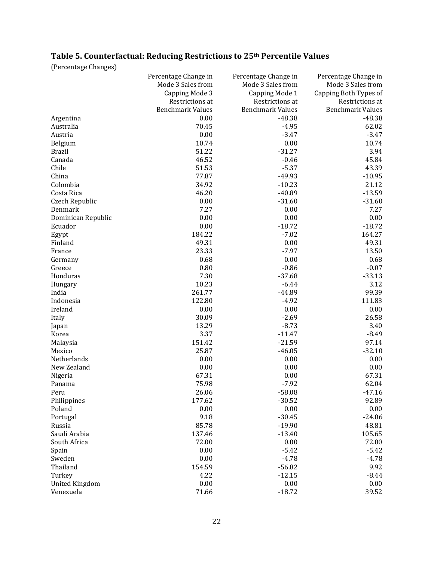# **Table 5. Counterfactual: Reducing Restrictions to 25th Percentile Values**

(Percentage Changes)

|                       | Percentage Change in    | Percentage Change in    | Percentage Change in    |
|-----------------------|-------------------------|-------------------------|-------------------------|
|                       | Mode 3 Sales from       | Mode 3 Sales from       | Mode 3 Sales from       |
|                       | Capping Mode 3          | Capping Mode 1          | Capping Both Types of   |
|                       | Restrictions at         | Restrictions at         | Restrictions at         |
|                       | <b>Benchmark Values</b> | <b>Benchmark Values</b> | <b>Benchmark Values</b> |
| Argentina             | 0.00                    | $-48.38$                | $-48.38$                |
| Australia             | 70.45                   | $-4.95$                 | 62.02                   |
| Austria               | 0.00                    | $-3.47$                 | $-3.47$                 |
| Belgium               | 10.74                   | 0.00                    | 10.74                   |
| <b>Brazil</b>         | 51.22                   | $-31.27$                | 3.94                    |
| Canada                | 46.52                   | $-0.46$                 | 45.84                   |
| Chile                 | 51.53                   | $-5.37$                 | 43.39                   |
| China                 | 77.87                   | -49.93                  | $-10.95$                |
| Colombia              | 34.92                   | $-10.23$                | 21.12                   |
| Costa Rica            | 46.20                   | $-40.89$                | $-13.59$                |
| Czech Republic        | 0.00                    | $-31.60$                | $-31.60$                |
| Denmark               | 7.27                    | 0.00                    | 7.27                    |
| Dominican Republic    | 0.00                    | 0.00                    | 0.00                    |
| Ecuador               | 0.00                    | $-18.72$                | $-18.72$                |
|                       |                         |                         |                         |
| Egypt                 | 184.22<br>49.31         | $-7.02$                 | 164.27                  |
| Finland               |                         | 0.00                    | 49.31                   |
| France                | 23.33                   | $-7.97$                 | 13.50                   |
| Germany               | 0.68                    | 0.00                    | 0.68                    |
| Greece                | 0.80                    | $-0.86$                 | $-0.07$                 |
| Honduras              | 7.30                    | $-37.68$                | $-33.13$                |
| Hungary               | 10.23                   | $-6.44$                 | 3.12                    |
| India                 | 261.77                  | $-44.89$                | 99.39                   |
| Indonesia             | 122.80                  | $-4.92$                 | 111.83                  |
| Ireland               | 0.00                    | 0.00                    | 0.00                    |
| Italy                 | 30.09                   | $-2.69$                 | 26.58                   |
| Japan                 | 13.29                   | $-8.73$                 | 3.40                    |
| Korea                 | 3.37                    | $-11.47$                | $-8.49$                 |
| Malaysia              | 151.42                  | $-21.59$                | 97.14                   |
| Mexico                | 25.87                   | $-46.05$                | $-32.10$                |
| Netherlands           | 0.00                    | 0.00                    | 0.00                    |
| New Zealand           | 0.00                    | 0.00                    | 0.00                    |
| Nigeria               | 67.31                   | 0.00                    | 67.31                   |
| Panama                | 75.98                   | $-7.92$                 | 62.04                   |
| Peru                  | 26.06                   | $-58.08$                | $-47.16$                |
| Philippines           | 177.62                  | $-30.52$                | 92.89                   |
| Poland                | 0.00                    | 0.00                    | 0.00                    |
| Portugal              | 9.18                    | $-30.45$                | $-24.06$                |
| Russia                | 85.78                   | $-19.90$                | 48.81                   |
| Saudi Arabia          | 137.46                  | $-13.40$                | 105.65                  |
| South Africa          | 72.00                   | 0.00                    | 72.00                   |
| Spain                 | 0.00                    | $-5.42$                 | $-5.42$                 |
| Sweden                | 0.00                    | $-4.78$                 | $-4.78$                 |
| Thailand              | 154.59                  | $-56.82$                | 9.92                    |
| Turkey                | 4.22                    | $-12.15$                | $-8.44$                 |
| <b>United Kingdom</b> | 0.00                    | 0.00                    | 0.00                    |
| Venezuela             | 71.66                   | $-18.72$                | 39.52                   |
|                       |                         |                         |                         |